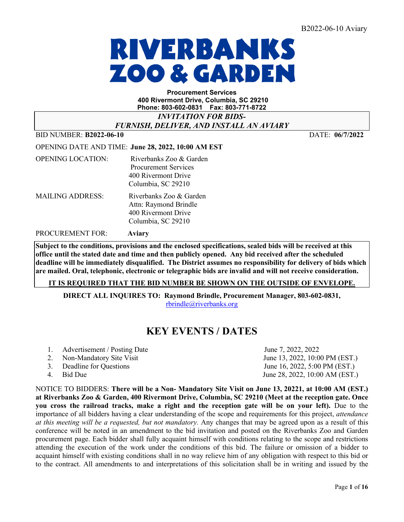# RIVERBANKS **ZOO & GARDEI**

#### **Procurement Services 400 Rivermont Drive, Columbia, SC 29210 Phone: 803-602-0831 Fax: 803-771-8722**

*INVITATION FOR BIDS-*

*FURNISH, DELIVER, AND INSTALL AN AVIARY*

BID NUMBER: **B2022-06-10** DATE: **06/7/2022** 

|                          | <b>OPENING DATE AND TIME: June 28, 2022, 10:00 AM EST</b>                                           |
|--------------------------|-----------------------------------------------------------------------------------------------------|
| <b>OPENING LOCATION:</b> | Riverbanks Zoo & Garden<br><b>Procurement Services</b><br>400 Rivermont Drive<br>Columbia, SC 29210 |
| <b>MAILING ADDRESS:</b>  | Riverbanks Zoo & Garden<br>Attn: Raymond Brindle<br>400 Rivermont Drive<br>Columbia, SC 29210       |

PROCUREMENT FOR: **Aviary** 

**Subject to the conditions, provisions and the enclosed specifications, sealed bids will be received at this office until the stated date and time and then publicly opened. Any bid received after the scheduled deadline will be immediately disqualified. The District assumes no responsibility for delivery of bids which are mailed. Oral, telephonic, electronic or telegraphic bids are invalid and will not receive consideration.**

**IT IS REQUIRED THAT THE BID NUMBER BE SHOWN ON THE OUTSIDE OF ENVELOPE.** 

**DIRECT ALL INQUIRES TO: Raymond Brindle, Procurement Manager, 803-602-0831,** [rbrindle@riverbanks.org](mailto:rbrindle@riverbanks.org)

## **KEY EVENTS / DATES**

- 1. Advertisement / Posting Date June 7, 2022, 2022
- 2. Non-Mandatory Site Visit  $\qquad \qquad$  June 13, 2022, 10:00 PM (EST.)
- 
- 

3. Deadline for Questions June 16, 2022, 5:00 PM (EST.) 4. Bid Due June 28, 2022, 10:00 AM (EST.)

NOTICE TO BIDDERS: **There will be a Non- Mandatory Site Visit on June 13, 20221, at 10:00 AM (EST.) at Riverbanks Zoo & Garden, 400 Rivermont Drive, Columbia, SC 29210 (Meet at the reception gate. Once you cross the railroad tracks, make a right and the reception gate will be on your left).** Due to the importance of all bidders having a clear understanding of the scope and requirements for this project, *attendance at this meeting will be a requested, but not mandatory.* Any changes that may be agreed upon as a result of this conference will be noted in an amendment to the bid invitation and posted on the Riverbanks Zoo and Garden procurement page. Each bidder shall fully acquaint himself with conditions relating to the scope and restrictions attending the execution of the work under the conditions of this bid. The failure or omission of a bidder to acquaint himself with existing conditions shall in no way relieve him of any obligation with respect to this bid or to the contract. All amendments to and interpretations of this solicitation shall be in writing and issued by the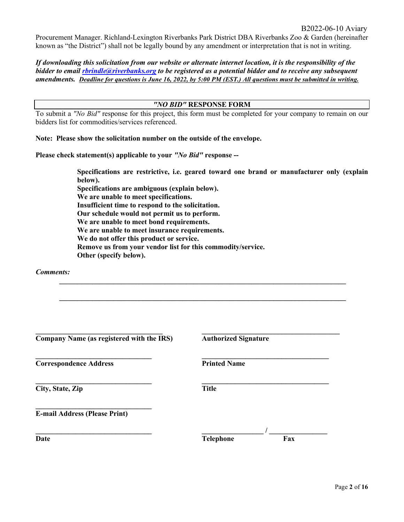Procurement Manager. Richland-Lexington Riverbanks Park District DBA Riverbanks Zoo & Garden (hereinafter known as "the District") shall not be legally bound by any amendment or interpretation that is not in writing.

*If downloading this solicitation from our website or alternate internet location, it is the responsibility of the bidder to email [rbrindle@riverbanks.org](mailto:rbrindle@riverbanks.org) to be registered as a potential bidder and to receive any subsequent amendments. Deadline for questions is June 16, 2022, by 5:00 PM (EST.) All questions must be submitted in writing.*

#### *"NO BID"* **RESPONSE FORM**

To submit a *"No Bid"* response for this project, this form must be completed for your company to remain on our bidders list for commodities/services referenced.

**Note: Please show the solicitation number on the outside of the envelope.** 

**Please check statement(s) applicable to your** *"No Bid"* **response --**

 **Specifications are restrictive, i.e. geared toward one brand or manufacturer only (explain below). Specifications are ambiguous (explain below). We are unable to meet specifications. Insufficient time to respond to the solicitation. Our schedule would not permit us to perform. We are unable to meet bond requirements. We are unable to meet insurance requirements. We do not offer this product or service. Remove us from your vendor list for this commodity/service. Other (specify below).**

**\_\_\_\_\_\_\_\_\_\_\_\_\_\_\_\_\_\_\_\_\_\_\_\_\_\_\_\_\_\_\_\_\_\_\_\_\_\_\_\_\_\_\_\_\_\_\_\_\_\_\_\_\_\_\_\_\_\_\_\_\_\_\_\_\_\_\_\_\_\_\_\_\_\_\_\_\_\_\_** 

**\_\_\_\_\_\_\_\_\_\_\_\_\_\_\_\_\_\_\_\_\_\_\_\_\_\_\_\_\_\_\_\_\_\_\_\_\_\_\_\_\_\_\_\_\_\_\_\_\_\_\_\_\_\_\_\_\_\_\_\_\_\_\_\_\_\_\_\_\_\_\_\_\_\_\_\_\_\_\_** 

*Comments:* 

| Company Name (as registered with the IRS) | <b>Authorized Signature</b> |
|-------------------------------------------|-----------------------------|
| <b>Correspondence Address</b>             | <b>Printed Name</b>         |
| City, State, Zip                          | <b>Title</b>                |
| <b>E-mail Address (Please Print)</b>      |                             |
| Date                                      | <b>Telephone</b><br>Fax     |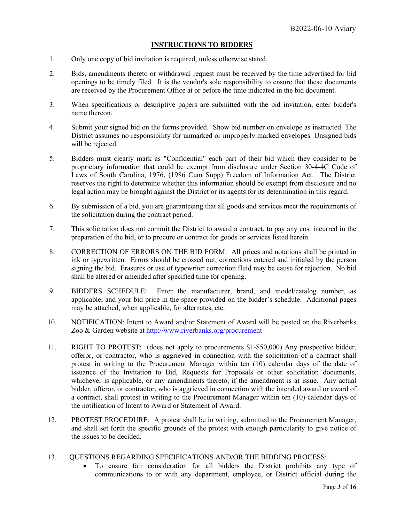#### **INSTRUCTIONS TO BIDDERS**

- 1. Only one copy of bid invitation is required, unless otherwise stated.
- 2. Bids, amendments thereto or withdrawal request must be received by the time advertised for bid openings to be timely filed. It is the vendor's sole responsibility to ensure that these documents are received by the Procurement Office at or before the time indicated in the bid document.
- 3. When specifications or descriptive papers are submitted with the bid invitation, enter bidder's name thereon.
- 4. Submit your signed bid on the forms provided. Show bid number on envelope as instructed. The District assumes no responsibility for unmarked or improperly marked envelopes. Unsigned bids will be rejected.
- 5. Bidders must clearly mark as "Confidential" each part of their bid which they consider to be proprietary information that could be exempt from disclosure under Section 30-4-4C Code of Laws of South Carolina, 1976, (1986 Cum Supp) Freedom of Information Act. The District reserves the right to determine whether this information should be exempt from disclosure and no legal action may be brought against the District or its agents for its determination in this regard.
- 6. By submission of a bid, you are guaranteeing that all goods and services meet the requirements of the solicitation during the contract period.
- 7. This solicitation does not commit the District to award a contract, to pay any cost incurred in the preparation of the bid, or to procure or contract for goods or services listed herein.
- 8. CORRECTION OF ERRORS ON THE BID FORM: All prices and notations shall be printed in ink or typewritten. Errors should be crossed out, corrections entered and initialed by the person signing the bid. Erasures or use of typewriter correction fluid may be cause for rejection. No bid shall be altered or amended after specified time for opening.
- 9. BIDDERS SCHEDULE: Enter the manufacturer, brand, and model/catalog number, as applicable, and your bid price in the space provided on the bidder's schedule. Additional pages may be attached, when applicable, for alternates, etc.
- 10. NOTIFICATION: Intent to Award and/or Statement of Award will be posted on the Riverbanks Zoo & Garden website at <http://www.riverbanks.org/procurement>
- 11. RIGHT TO PROTEST: (does not apply to procurements \$1-\$50,000) Any prospective bidder, offeror, or contractor, who is aggrieved in connection with the solicitation of a contract shall protest in writing to the Procurement Manager within ten (10) calendar days of the date of issuance of the Invitation to Bid, Requests for Proposals or other solicitation documents, whichever is applicable, or any amendments thereto, if the amendment is at issue. Any actual bidder, offeror, or contractor, who is aggrieved in connection with the intended award or award of a contract, shall protest in writing to the Procurement Manager within ten (10) calendar days of the notification of Intent to Award or Statement of Award.
- 12. PROTEST PROCEDURE: A protest shall be in writing, submitted to the Procurement Manager, and shall set forth the specific grounds of the protest with enough particularity to give notice of the issues to be decided.
- 13. QUESTIONS REGARDING SPECIFICATIONS AND/OR THE BIDDING PROCESS:
	- To ensure fair consideration for all bidders the District prohibits any type of communications to or with any department, employee, or District official during the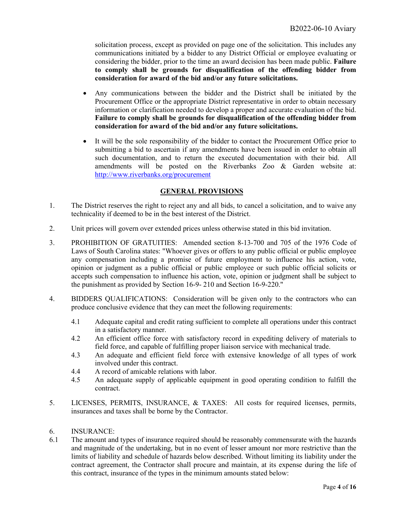solicitation process, except as provided on page one of the solicitation. This includes any communications initiated by a bidder to any District Official or employee evaluating or considering the bidder, prior to the time an award decision has been made public. **Failure to comply shall be grounds for disqualification of the offending bidder from consideration for award of the bid and/or any future solicitations.**

- Any communications between the bidder and the District shall be initiated by the Procurement Office or the appropriate District representative in order to obtain necessary information or clarification needed to develop a proper and accurate evaluation of the bid. **Failure to comply shall be grounds for disqualification of the offending bidder from consideration for award of the bid and/or any future solicitations.**
- It will be the sole responsibility of the bidder to contact the Procurement Office prior to submitting a bid to ascertain if any amendments have been issued in order to obtain all such documentation, and to return the executed documentation with their bid. All amendments will be posted on the Riverbanks Zoo & Garden website at: <http://www.riverbanks.org/procurement>

#### **GENERAL PROVISIONS**

- 1. The District reserves the right to reject any and all bids, to cancel a solicitation, and to waive any technicality if deemed to be in the best interest of the District.
- 2. Unit prices will govern over extended prices unless otherwise stated in this bid invitation.
- 3. PROHIBITION OF GRATUITIES: Amended section 8-13-700 and 705 of the 1976 Code of Laws of South Carolina states: "Whoever gives or offers to any public official or public employee any compensation including a promise of future employment to influence his action, vote, opinion or judgment as a public official or public employee or such public official solicits or accepts such compensation to influence his action, vote, opinion or judgment shall be subject to the punishment as provided by Section 16-9- 210 and Section 16-9-220."
- 4. BIDDERS QUALIFICATIONS: Consideration will be given only to the contractors who can produce conclusive evidence that they can meet the following requirements:
	- 4.1 Adequate capital and credit rating sufficient to complete all operations under this contract in a satisfactory manner.
	- 4.2 An efficient office force with satisfactory record in expediting delivery of materials to field force, and capable of fulfilling proper liaison service with mechanical trade.
	- 4.3 An adequate and efficient field force with extensive knowledge of all types of work involved under this contract.
	- 4.4 A record of amicable relations with labor.
	- 4.5 An adequate supply of applicable equipment in good operating condition to fulfill the contract.
- 5. LICENSES, PERMITS, INSURANCE, & TAXES: All costs for required licenses, permits, insurances and taxes shall be borne by the Contractor.
- 6. INSURANCE:
- 6.1 The amount and types of insurance required should be reasonably commensurate with the hazards and magnitude of the undertaking, but in no event of lesser amount nor more restrictive than the limits of liability and schedule of hazards below described. Without limiting its liability under the contract agreement, the Contractor shall procure and maintain, at its expense during the life of this contract, insurance of the types in the minimum amounts stated below: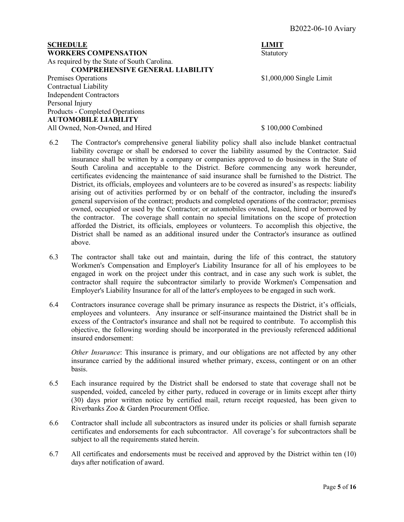#### **SCHEDULE** LIMIT **WORKERS COMPENSATION** Statutory As required by the State of South Carolina. **COMPREHENSIVE GENERAL LIABILITY** Premises Operations  $$1,000,000$  Single Limit Contractual Liability

Independent Contractors Personal Injury Products - Completed Operations **AUTOMOBILE LIABILITY** All Owned, Non-Owned, and Hired  $$ 100,000$  Combined

- 6.2 The Contractor's comprehensive general liability policy shall also include blanket contractual liability coverage or shall be endorsed to cover the liability assumed by the Contractor. Said insurance shall be written by a company or companies approved to do business in the State of South Carolina and acceptable to the District. Before commencing any work hereunder, certificates evidencing the maintenance of said insurance shall be furnished to the District. The District, its officials, employees and volunteers are to be covered as insured's as respects: liability arising out of activities performed by or on behalf of the contractor, including the insured's general supervision of the contract; products and completed operations of the contractor; premises owned, occupied or used by the Contractor; or automobiles owned, leased, hired or borrowed by the contractor. The coverage shall contain no special limitations on the scope of protection afforded the District, its officials, employees or volunteers. To accomplish this objective, the District shall be named as an additional insured under the Contractor's insurance as outlined above.
- 6.3 The contractor shall take out and maintain, during the life of this contract, the statutory Workmen's Compensation and Employer's Liability Insurance for all of his employees to be engaged in work on the project under this contract, and in case any such work is sublet, the contractor shall require the subcontractor similarly to provide Workmen's Compensation and Employer's Liability Insurance for all of the latter's employees to be engaged in such work.
- 6.4 Contractors insurance coverage shall be primary insurance as respects the District, it's officials, employees and volunteers. Any insurance or self-insurance maintained the District shall be in excess of the Contractor's insurance and shall not be required to contribute. To accomplish this objective, the following wording should be incorporated in the previously referenced additional insured endorsement:

*Other Insurance*: This insurance is primary, and our obligations are not affected by any other insurance carried by the additional insured whether primary, excess, contingent or on an other basis.

- 6.5 Each insurance required by the District shall be endorsed to state that coverage shall not be suspended, voided, canceled by either party, reduced in coverage or in limits except after thirty (30) days prior written notice by certified mail, return receipt requested, has been given to Riverbanks Zoo & Garden Procurement Office.
- 6.6 Contractor shall include all subcontractors as insured under its policies or shall furnish separate certificates and endorsements for each subcontractor. All coverage's for subcontractors shall be subject to all the requirements stated herein.
- 6.7 All certificates and endorsements must be received and approved by the District within ten (10) days after notification of award.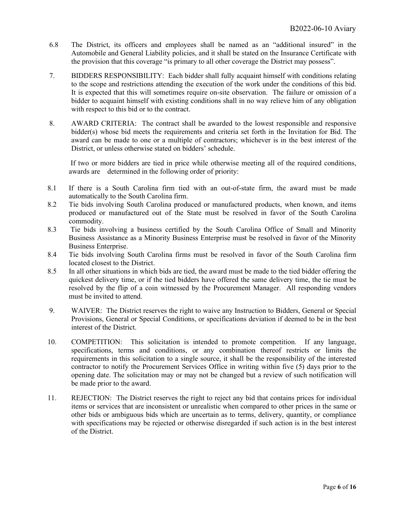- 6.8 The District, its officers and employees shall be named as an "additional insured" in the Automobile and General Liability policies, and it shall be stated on the Insurance Certificate with the provision that this coverage "is primary to all other coverage the District may possess".
- 7. BIDDERS RESPONSIBILITY: Each bidder shall fully acquaint himself with conditions relating to the scope and restrictions attending the execution of the work under the conditions of this bid. It is expected that this will sometimes require on-site observation. The failure or omission of a bidder to acquaint himself with existing conditions shall in no way relieve him of any obligation with respect to this bid or to the contract.
- 8. AWARD CRITERIA: The contract shall be awarded to the lowest responsible and responsive bidder(s) whose bid meets the requirements and criteria set forth in the Invitation for Bid. The award can be made to one or a multiple of contractors; whichever is in the best interest of the District, or unless otherwise stated on bidders' schedule.

If two or more bidders are tied in price while otherwise meeting all of the required conditions, awards are determined in the following order of priority:

- 8.1 If there is a South Carolina firm tied with an out-of-state firm, the award must be made automatically to the South Carolina firm.
- 8.2 Tie bids involving South Carolina produced or manufactured products, when known, and items produced or manufactured out of the State must be resolved in favor of the South Carolina commodity.
- 8.3 Tie bids involving a business certified by the South Carolina Office of Small and Minority Business Assistance as a Minority Business Enterprise must be resolved in favor of the Minority Business Enterprise.
- 8.4 Tie bids involving South Carolina firms must be resolved in favor of the South Carolina firm located closest to the District.
- 8.5 In all other situations in which bids are tied, the award must be made to the tied bidder offering the quickest delivery time, or if the tied bidders have offered the same delivery time, the tie must be resolved by the flip of a coin witnessed by the Procurement Manager. All responding vendors must be invited to attend.
- 9. WAIVER: The District reserves the right to waive any Instruction to Bidders, General or Special Provisions, General or Special Conditions, or specifications deviation if deemed to be in the best interest of the District.
- 10. COMPETITION: This solicitation is intended to promote competition. If any language, specifications, terms and conditions, or any combination thereof restricts or limits the requirements in this solicitation to a single source, it shall be the responsibility of the interested contractor to notify the Procurement Services Office in writing within five (5) days prior to the opening date. The solicitation may or may not be changed but a review of such notification will be made prior to the award.
- 11. REJECTION: The District reserves the right to reject any bid that contains prices for individual items or services that are inconsistent or unrealistic when compared to other prices in the same or other bids or ambiguous bids which are uncertain as to terms, delivery, quantity, or compliance with specifications may be rejected or otherwise disregarded if such action is in the best interest of the District.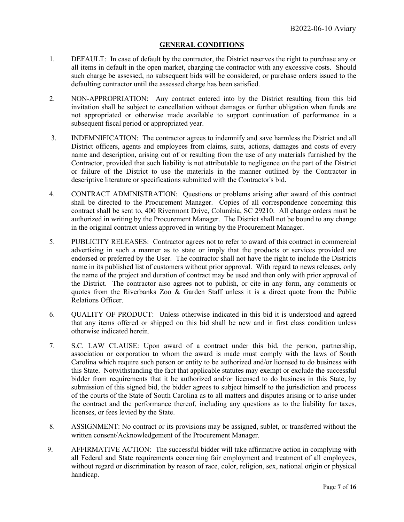#### **GENERAL CONDITIONS**

- 1. DEFAULT: In case of default by the contractor, the District reserves the right to purchase any or all items in default in the open market, charging the contractor with any excessive costs. Should such charge be assessed, no subsequent bids will be considered, or purchase orders issued to the defaulting contractor until the assessed charge has been satisfied.
- 2. NON-APPROPRIATION: Any contract entered into by the District resulting from this bid invitation shall be subject to cancellation without damages or further obligation when funds are not appropriated or otherwise made available to support continuation of performance in a subsequent fiscal period or appropriated year.
- 3. INDEMNIFICATION: The contractor agrees to indemnify and save harmless the District and all District officers, agents and employees from claims, suits, actions, damages and costs of every name and description, arising out of or resulting from the use of any materials furnished by the Contractor, provided that such liability is not attributable to negligence on the part of the District or failure of the District to use the materials in the manner outlined by the Contractor in descriptive literature or specifications submitted with the Contractor's bid.
- 4. CONTRACT ADMINISTRATION: Questions or problems arising after award of this contract shall be directed to the Procurement Manager. Copies of all correspondence concerning this contract shall be sent to, 400 Rivermont Drive, Columbia, SC 29210. All change orders must be authorized in writing by the Procurement Manager. The District shall not be bound to any change in the original contract unless approved in writing by the Procurement Manager.
- 5. PUBLICITY RELEASES: Contractor agrees not to refer to award of this contract in commercial advertising in such a manner as to state or imply that the products or services provided are endorsed or preferred by the User. The contractor shall not have the right to include the Districts name in its published list of customers without prior approval. With regard to news releases, only the name of the project and duration of contract may be used and then only with prior approval of the District. The contractor also agrees not to publish, or cite in any form, any comments or quotes from the Riverbanks Zoo & Garden Staff unless it is a direct quote from the Public Relations Officer.
- 6. QUALITY OF PRODUCT: Unless otherwise indicated in this bid it is understood and agreed that any items offered or shipped on this bid shall be new and in first class condition unless otherwise indicated herein.
- 7. S.C. LAW CLAUSE: Upon award of a contract under this bid, the person, partnership, association or corporation to whom the award is made must comply with the laws of South Carolina which require such person or entity to be authorized and/or licensed to do business with this State. Notwithstanding the fact that applicable statutes may exempt or exclude the successful bidder from requirements that it be authorized and/or licensed to do business in this State, by submission of this signed bid, the bidder agrees to subject himself to the jurisdiction and process of the courts of the State of South Carolina as to all matters and disputes arising or to arise under the contract and the performance thereof, including any questions as to the liability for taxes, licenses, or fees levied by the State.
- 8. ASSIGNMENT: No contract or its provisions may be assigned, sublet, or transferred without the written consent/Acknowledgement of the Procurement Manager.
- 9. AFFIRMATIVE ACTION: The successful bidder will take affirmative action in complying with all Federal and State requirements concerning fair employment and treatment of all employees, without regard or discrimination by reason of race, color, religion, sex, national origin or physical handicap.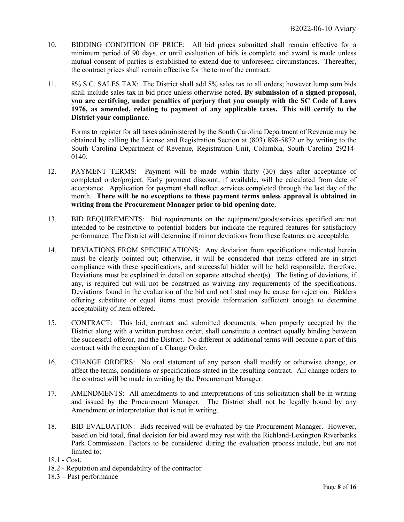- 10. BIDDING CONDITION OF PRICE: All bid prices submitted shall remain effective for a minimum period of 90 days, or until evaluation of bids is complete and award is made unless mutual consent of parties is established to extend due to unforeseen circumstances. Thereafter, the contract prices shall remain effective for the term of the contract.
- 11. 8% S.C. SALES TAX: The District shall add 8% sales tax to all orders; however lump sum bids shall include sales tax in bid price unless otherwise noted. **By submission of a signed proposal, you are certifying, under penalties of perjury that you comply with the SC Code of Laws 1976, as amended, relating to payment of any applicable taxes. This will certify to the District your compliance**.

Forms to register for all taxes administered by the South Carolina Department of Revenue may be obtained by calling the License and Registration Section at (803) 898-5872 or by writing to the South Carolina Department of Revenue, Registration Unit, Columbia, South Carolina 29214- 0140.

- 12. PAYMENT TERMS: Payment will be made within thirty (30) days after acceptance of completed order/project. Early payment discount, if available, will be calculated from date of acceptance. Application for payment shall reflect services completed through the last day of the month. **There will be no exceptions to these payment terms unless approval is obtained in writing from the Procurement Manager prior to bid opening date.**
- 13. BID REQUIREMENTS: Bid requirements on the equipment/goods/services specified are not intended to be restrictive to potential bidders but indicate the required features for satisfactory performance. The District will determine if minor deviations from these features are acceptable.
- 14. DEVIATIONS FROM SPECIFICATIONS: Any deviation from specifications indicated herein must be clearly pointed out; otherwise, it will be considered that items offered are in strict compliance with these specifications, and successful bidder will be held responsible, therefore. Deviations must be explained in detail on separate attached sheet(s). The listing of deviations, if any, is required but will not be construed as waiving any requirements of the specifications. Deviations found in the evaluation of the bid and not listed may be cause for rejection. Bidders offering substitute or equal items must provide information sufficient enough to determine acceptability of item offered.
- 15. CONTRACT: This bid, contract and submitted documents, when properly accepted by the District along with a written purchase order, shall constitute a contract equally binding between the successful offeror, and the District. No different or additional terms will become a part of this contract with the exception of a Change Order.
- 16. CHANGE ORDERS: No oral statement of any person shall modify or otherwise change, or affect the terms, conditions or specifications stated in the resulting contract. All change orders to the contract will be made in writing by the Procurement Manager.
- 17. AMENDMENTS: All amendments to and interpretations of this solicitation shall be in writing and issued by the Procurement Manager. The District shall not be legally bound by any Amendment or interpretation that is not in writing.
- 18. BID EVALUATION: Bids received will be evaluated by the Procurement Manager. However, based on bid total, final decision for bid award may rest with the Richland-Lexington Riverbanks Park Commission. Factors to be considered during the evaluation process include, but are not limited to:

18.1 - Cost.

18.3 – Past performance

<sup>18.2 -</sup> Reputation and dependability of the contractor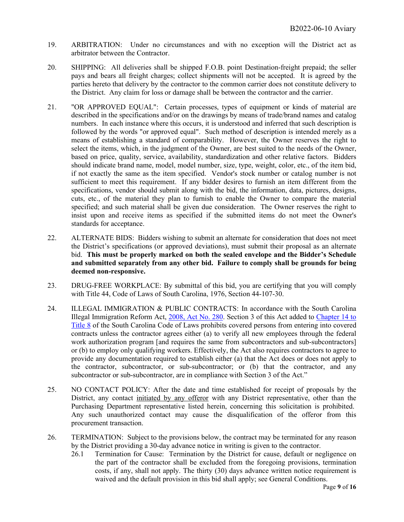- 19. ARBITRATION: Under no circumstances and with no exception will the District act as arbitrator between the Contractor.
- 20. SHIPPING: All deliveries shall be shipped F.O.B. point Destination-freight prepaid; the seller pays and bears all freight charges; collect shipments will not be accepted. It is agreed by the parties hereto that delivery by the contractor to the common carrier does not constitute delivery to the District. Any claim for loss or damage shall be between the contractor and the carrier.
- 21. "OR APPROVED EQUAL": Certain processes, types of equipment or kinds of material are described in the specifications and/or on the drawings by means of trade/brand names and catalog numbers. In each instance where this occurs, it is understood and inferred that such description is followed by the words "or approved equal". Such method of description is intended merely as a means of establishing a standard of comparability. However, the Owner reserves the right to select the items, which, in the judgment of the Owner, are best suited to the needs of the Owner, based on price, quality, service, availability, standardization and other relative factors. Bidders should indicate brand name, model, model number, size, type, weight, color, etc., of the item bid, if not exactly the same as the item specified. Vendor's stock number or catalog number is not sufficient to meet this requirement. If any bidder desires to furnish an item different from the specifications, vendor should submit along with the bid, the information, data, pictures, designs, cuts, etc., of the material they plan to furnish to enable the Owner to compare the material specified; and such material shall be given due consideration. The Owner reserves the right to insist upon and receive items as specified if the submitted items do not meet the Owner's standards for acceptance.
- 22. ALTERNATE BIDS: Bidders wishing to submit an alternate for consideration that does not meet the District's specifications (or approved deviations), must submit their proposal as an alternate bid. **This must be properly marked on both the sealed envelope and the Bidder's Schedule and submitted separately from any other bid. Failure to comply shall be grounds for being deemed non-responsive.**
- 23. DRUG-FREE WORKPLACE: By submittal of this bid, you are certifying that you will comply with Title 44, Code of Laws of South Carolina, 1976, Section 44-107-30.
- 24. ILLEGAL IMMIGRATION & PUBLIC CONTRACTS: In accordance with the South Carolina Illegal Immigration Reform Act, [2008, Act No. 280.](http://www.scstatehouse.net/sess117_2007-2008/bills/4400.htm) Section 3 of this Act added to [Chapter 14 to](http://www.scstatehouse.net/code/t08c014.htm)  [Title 8](http://www.scstatehouse.net/code/t08c014.htm) of the South Carolina Code of Laws prohibits covered persons from entering into covered contracts unless the contractor agrees either (a) to verify all new employees through the federal work authorization program [and requires the same from subcontractors and sub-subcontractors] or (b) to employ only qualifying workers. Effectively, the Act also requires contractors to agree to provide any documentation required to establish either (a) that the Act does or does not apply to the contractor, subcontractor, or sub-subcontractor; or (b) that the contractor, and any subcontractor or sub-subcontractor, are in compliance with Section 3 of the Act."
- 25. NO CONTACT POLICY: After the date and time established for receipt of proposals by the District, any contact initiated by any offeror with any District representative, other than the Purchasing Department representative listed herein, concerning this solicitation is prohibited. Any such unauthorized contact may cause the disqualification of the offeror from this procurement transaction.
- 26. TERMINATION: Subject to the provisions below, the contract may be terminated for any reason by the District providing a 30-day advance notice in writing is given to the contractor.
	- 26.1 Termination for Cause: Termination by the District for cause, default or negligence on the part of the contractor shall be excluded from the foregoing provisions, termination costs, if any, shall not apply. The thirty (30) days advance written notice requirement is waived and the default provision in this bid shall apply; see General Conditions.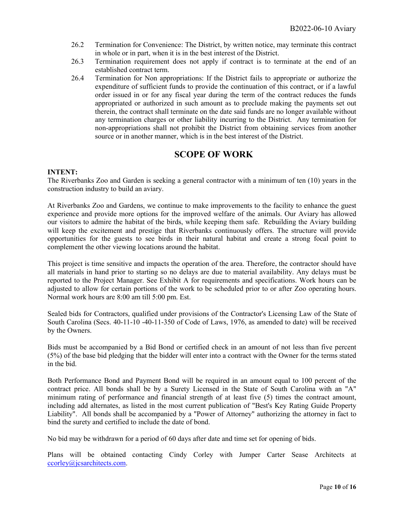- 26.2 Termination for Convenience: The District, by written notice, may terminate this contract in whole or in part, when it is in the best interest of the District.
- 26.3 Termination requirement does not apply if contract is to terminate at the end of an established contract term.
- 26.4 Termination for Non appropriations: If the District fails to appropriate or authorize the expenditure of sufficient funds to provide the continuation of this contract, or if a lawful order issued in or for any fiscal year during the term of the contract reduces the funds appropriated or authorized in such amount as to preclude making the payments set out therein, the contract shall terminate on the date said funds are no longer available without any termination charges or other liability incurring to the District. Any termination for non-appropriations shall not prohibit the District from obtaining services from another source or in another manner, which is in the best interest of the District.

#### **SCOPE OF WORK**

#### **INTENT:**

The Riverbanks Zoo and Garden is seeking a general contractor with a minimum of ten (10) years in the construction industry to build an aviary.

At Riverbanks Zoo and Gardens, we continue to make improvements to the facility to enhance the guest experience and provide more options for the improved welfare of the animals. Our Aviary has allowed our visitors to admire the habitat of the birds, while keeping them safe. Rebuilding the Aviary building will keep the excitement and prestige that Riverbanks continuously offers. The structure will provide opportunities for the guests to see birds in their natural habitat and create a strong focal point to complement the other viewing locations around the habitat.

This project is time sensitive and impacts the operation of the area. Therefore, the contractor should have all materials in hand prior to starting so no delays are due to material availability. Any delays must be reported to the Project Manager. See Exhibit A for requirements and specifications. Work hours can be adjusted to allow for certain portions of the work to be scheduled prior to or after Zoo operating hours. Normal work hours are 8:00 am till 5:00 pm. Est.

Sealed bids for Contractors, qualified under provisions of the Contractor's Licensing Law of the State of South Carolina (Secs. 40-11-10 -40-11-350 of Code of Laws, 1976, as amended to date) will be received by the Owners.

Bids must be accompanied by a Bid Bond or certified check in an amount of not less than five percent (5%) of the base bid pledging that the bidder will enter into a contract with the Owner for the terms stated in the bid.

Both Performance Bond and Payment Bond will be required in an amount equal to 100 percent of the contract price. All bonds shall be by a Surety Licensed in the State of South Carolina with an "A" minimum rating of performance and financial strength of at least five (5) times the contract amount, including add alternates, as listed in the most current publication of "Best's Key Rating Guide Property Liability". All bonds shall be accompanied by a "Power of Attorney" authorizing the attorney in fact to bind the surety and certified to include the date of bond.

No bid may be withdrawn for a period of 60 days after date and time set for opening of bids.

Plans will be obtained contacting Cindy Corley with Jumper Carter Sease Architects at [ccorley@jcsarchitects.com.](mailto:ccorley@jcsarchitects.com)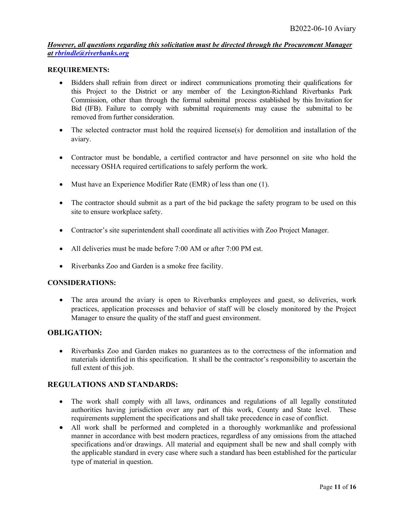*However, all questions regarding this solicitation must be directed through the Procurement Manager at [rbrindle@riverbanks.org](mailto:rbrindle@riverbanks.org)* 

#### **REQUIREMENTS:**

- Bidders shall refrain from direct or indirect communications promoting their qualifications for this Project to the District or any member of the Lexington-Richland Riverbanks Park Commission, other than through the formal submittal process established by this Invitation for Bid (IFB). Failure to comply with submittal requirements may cause the submittal to be removed from further consideration.
- The selected contractor must hold the required license(s) for demolition and installation of the aviary.
- Contractor must be bondable, a certified contractor and have personnel on site who hold the necessary OSHA required certifications to safely perform the work.
- Must have an Experience Modifier Rate (EMR) of less than one (1).
- The contractor should submit as a part of the bid package the safety program to be used on this site to ensure workplace safety.
- Contractor's site superintendent shall coordinate all activities with Zoo Project Manager.
- All deliveries must be made before 7:00 AM or after 7:00 PM est.
- Riverbanks Zoo and Garden is a smoke free facility.

#### **CONSIDERATIONS:**

• The area around the aviary is open to Riverbanks employees and guest, so deliveries, work practices, application processes and behavior of staff will be closely monitored by the Project Manager to ensure the quality of the staff and guest environment.

#### **OBLIGATION:**

• Riverbanks Zoo and Garden makes no guarantees as to the correctness of the information and materials identified in this specification. It shall be the contractor's responsibility to ascertain the full extent of this job.

#### **REGULATIONS AND STANDARDS:**

- The work shall comply with all laws, ordinances and regulations of all legally constituted authorities having jurisdiction over any part of this work, County and State level. These requirements supplement the specifications and shall take precedence in case of conflict.
- All work shall be performed and completed in a thoroughly workmanlike and professional manner in accordance with best modern practices, regardless of any omissions from the attached specifications and/or drawings. All material and equipment shall be new and shall comply with the applicable standard in every case where such a standard has been established for the particular type of material in question.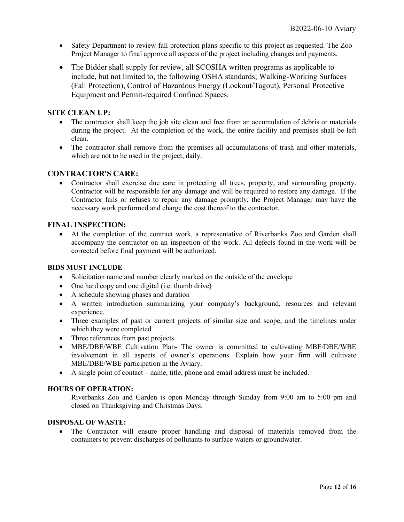- Safety Department to review fall protection plans specific to this project as requested. The Zoo Project Manager to final approve all aspects of the project including changes and payments.
- The Bidder shall supply for review, all SCOSHA written programs as applicable to include, but not limited to, the following OSHA standards; Walking-Working Surfaces (Fall Protection), Control of Hazardous Energy (Lockout/Tagout), Personal Protective Equipment and Permit-required Confined Spaces.

#### **SITE CLEAN UP:**

- The contractor shall keep the job site clean and free from an accumulation of debris or materials during the project. At the completion of the work, the entire facility and premises shall be left clean.
- The contractor shall remove from the premises all accumulations of trash and other materials, which are not to be used in the project, daily.

#### **CONTRACTOR'S CARE:**

• Contractor shall exercise due care in protecting all trees, property, and surrounding property. Contractor will be responsible for any damage and will be required to restore any damage. If the Contractor fails or refuses to repair any damage promptly, the Project Manager may have the necessary work performed and charge the cost thereof to the contractor.

#### **FINAL INSPECTION:**

• At the completion of the contract work, a representative of Riverbanks Zoo and Garden shall accompany the contractor on an inspection of the work. All defects found in the work will be corrected before final payment will be authorized.

#### **BIDS MUST INCLUDE**

- Solicitation name and number clearly marked on the outside of the envelope
- One hard copy and one digital (i.e. thumb drive)
- A schedule showing phases and duration
- A written introduction summarizing your company's background, resources and relevant experience.
- Three examples of past or current projects of similar size and scope, and the timelines under which they were completed
- Three references from past projects
- MBE/DBE/WBE Cultivation Plan- The owner is committed to cultivating MBE/DBE/WBE involvement in all aspects of owner's operations. Explain how your firm will cultivate MBE/DBE/WBE participation in the Aviary.
- A single point of contact name, title, phone and email address must be included.

#### **HOURS OF OPERATION:**

Riverbanks Zoo and Garden is open Monday through Sunday from 9:00 am to 5:00 pm and closed on Thanksgiving and Christmas Days.

#### **DISPOSAL OF WASTE:**

• The Contractor will ensure proper handling and disposal of materials removed from the containers to prevent discharges of pollutants to surface waters or groundwater.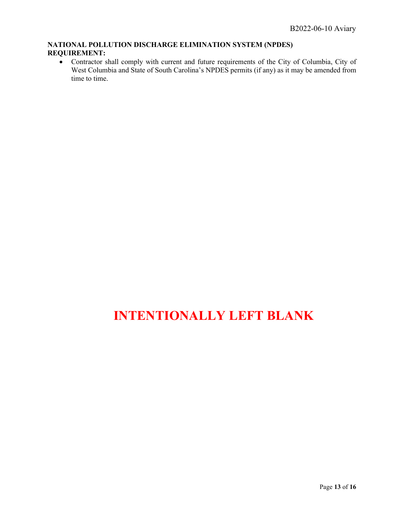#### **NATIONAL POLLUTION DISCHARGE ELIMINATION SYSTEM (NPDES) REQUIREMENT:**

• Contractor shall comply with current and future requirements of the City of Columbia, City of West Columbia and State of South Carolina's NPDES permits (if any) as it may be amended from time to time.

# **INTENTIONALLY LEFT BLANK**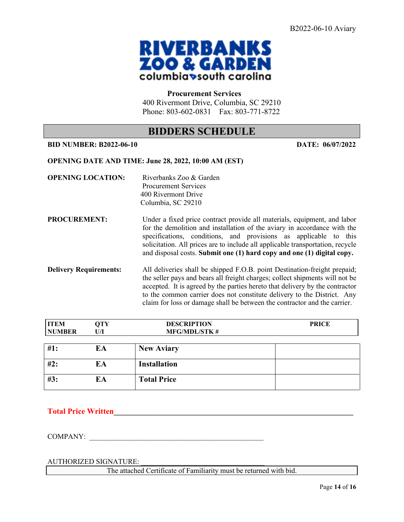

#### **Procurement Services**

400 Rivermont Drive, Columbia, SC 29210 Phone: 803-602-0831 Fax: 803-771-8722

### **BIDDERS SCHEDULE**

#### **BID NUMBER: B2022-06-10 DATE: 06/07/2022**

#### **OPENING DATE AND TIME: June 28, 2022, 10:00 AM (EST)**

| <b>OPENING LOCATION:</b>      | Riverbanks Zoo & Garden<br><b>Procurement Services</b><br>400 Rivermont Drive<br>Columbia, SC 29210                                                                                                                                                                                                                                                                                                |
|-------------------------------|----------------------------------------------------------------------------------------------------------------------------------------------------------------------------------------------------------------------------------------------------------------------------------------------------------------------------------------------------------------------------------------------------|
| <b>PROCUREMENT:</b>           | Under a fixed price contract provide all materials, equipment, and labor<br>for the demolition and installation of the aviary in accordance with the<br>specifications, conditions, and provisions as applicable to this<br>solicitation. All prices are to include all applicable transportation, recycle<br>and disposal costs. Submit one (1) hard copy and one (1) digital copy.               |
| <b>Delivery Requirements:</b> | All deliveries shall be shipped F.O.B. point Destination-freight prepaid;<br>the seller pays and bears all freight charges; collect shipments will not be<br>accepted. It is agreed by the parties here to that delivery by the contractor<br>to the common carrier does not constitute delivery to the District. Any<br>claim for loss or damage shall be between the contractor and the carrier. |

| <b>ITEM</b><br><b>NUMBER</b> | <b>QTY</b><br>U/I | <b>DESCRIPTION</b><br><b>MFG/MDL/STK#</b> | <b>PRICE</b> |
|------------------------------|-------------------|-------------------------------------------|--------------|
| #1:                          | EA                | <b>New Aviary</b>                         |              |
| #2:                          | EA                | <b>Installation</b>                       |              |
| #3:                          | EA                | <b>Total Price</b>                        |              |

**Total Price Written\_\_\_\_\_\_\_\_\_\_\_\_\_\_\_\_\_\_\_\_\_\_\_\_\_\_\_\_\_\_\_\_\_\_\_\_\_\_\_\_\_\_\_\_\_\_\_\_\_\_\_\_\_\_\_\_\_\_\_\_\_\_\_\_\_\_** 

COMPANY:

AUTHORIZED SIGNATURE:

The attached Certificate of Familiarity must be returned with bid.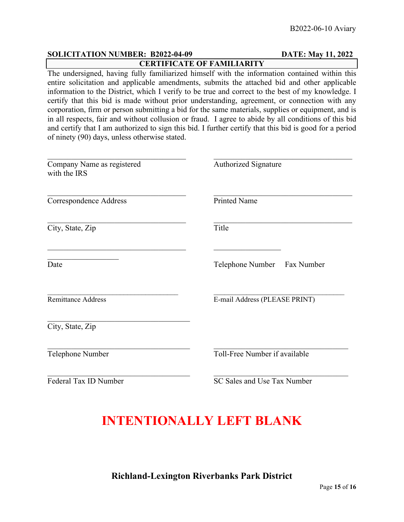#### **SOLICITATION NUMBER: B2022-04-09 DATE: May 11, 2022 CERTIFICATE OF FAMILIARITY**

The undersigned, having fully familiarized himself with the information contained within this entire solicitation and applicable amendments, submits the attached bid and other applicable information to the District, which I verify to be true and correct to the best of my knowledge. I certify that this bid is made without prior understanding, agreement, or connection with any corporation, firm or person submitting a bid for the same materials, supplies or equipment, and is in all respects, fair and without collusion or fraud. I agree to abide by all conditions of this bid and certify that I am authorized to sign this bid. I further certify that this bid is good for a period of ninety (90) days, unless otherwise stated.

| Company Name as registered<br>with the IRS        | <b>Authorized Signature</b><br><b>Printed Name</b> |  |
|---------------------------------------------------|----------------------------------------------------|--|
| <b>Correspondence Address</b>                     |                                                    |  |
| City, State, Zip                                  | Title                                              |  |
| Date                                              | Telephone Number Fax Number                        |  |
| <b>Remittance Address</b>                         | E-mail Address (PLEASE PRINT)                      |  |
| City, State, Zip                                  |                                                    |  |
| Toll-Free Number if available<br>Telephone Number |                                                    |  |
| Federal Tax ID Number                             | SC Sales and Use Tax Number                        |  |

# **INTENTIONALLY LEFT BLANK**

**Richland-Lexington Riverbanks Park District**